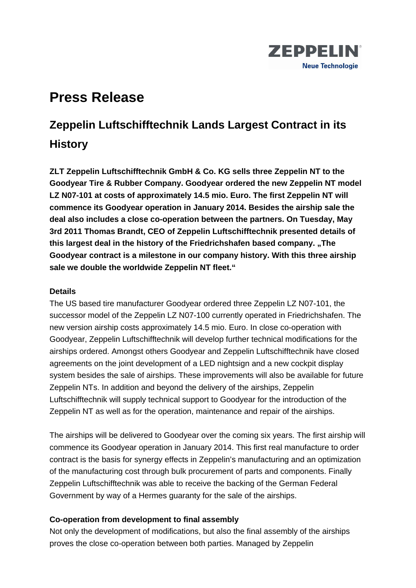

# **Press Release**

# **Zeppelin Luftschifftechnik Lands Largest Contract in its History**

**ZLT Zeppelin Luftschifftechnik GmbH & Co. KG sells three Zeppelin NT to the Goodyear Tire & Rubber Company. Goodyear ordered the new Zeppelin NT model LZ N07-101 at costs of approximately 14.5 mio. Euro. The first Zeppelin NT will commence its Goodyear operation in January 2014. Besides the airship sale the deal also includes a close co-operation between the partners. On Tuesday, May 3rd 2011 Thomas Brandt, CEO of Zeppelin Luftschifftechnik presented details of this largest deal in the history of the Friedrichshafen based company. "The Goodyear contract is a milestone in our company history. With this three airship sale we double the worldwide Zeppelin NT fleet."** 

## **Details**

The US based tire manufacturer Goodyear ordered three Zeppelin LZ N07-101, the successor model of the Zeppelin LZ N07-100 currently operated in Friedrichshafen. The new version airship costs approximately 14.5 mio. Euro. In close co-operation with Goodyear, Zeppelin Luftschifftechnik will develop further technical modifications for the airships ordered. Amongst others Goodyear and Zeppelin Luftschifftechnik have closed agreements on the joint development of a LED nightsign and a new cockpit display system besides the sale of airships. These improvements will also be available for future Zeppelin NTs. In addition and beyond the delivery of the airships, Zeppelin Luftschifftechnik will supply technical support to Goodyear for the introduction of the Zeppelin NT as well as for the operation, maintenance and repair of the airships.

The airships will be delivered to Goodyear over the coming six years. The first airship will commence its Goodyear operation in January 2014. This first real manufacture to order contract is the basis for synergy effects in Zeppelin's manufacturing and an optimization of the manufacturing cost through bulk procurement of parts and components. Finally Zeppelin Luftschifftechnik was able to receive the backing of the German Federal Government by way of a Hermes guaranty for the sale of the airships.

## **Co-operation from development to final assembly**

Not only the development of modifications, but also the final assembly of the airships proves the close co-operation between both parties. Managed by Zeppelin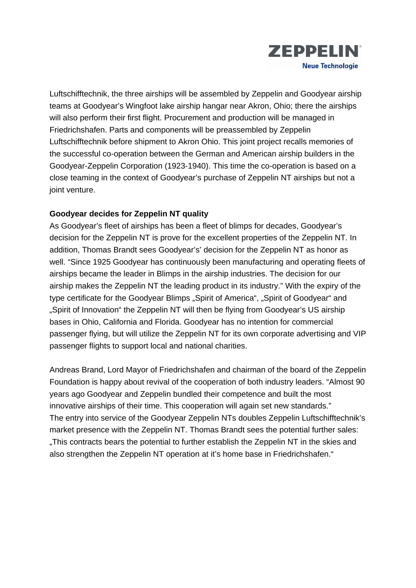

Luftschifftechnik, the three airships will be assembled by Zeppelin and Goodyear airship teams at Goodyear's Wingfoot lake airship hangar near Akron, Ohio; there the airships will also perform their first flight. Procurement and production will be managed in Friedrichshafen. Parts and components will be preassembled by Zeppelin Luftschifftechnik before shipment to Akron Ohio. This joint project recalls memories of the successful co-operation between the German and American airship builders in the Goodyear-Zeppelin Corporation (1923-1940). This time the co-operation is based on a close teaming in the context of Goodyear's purchase of Zeppelin NT airships but not a joint venture.

# **Goodyear decides for Zeppelin NT quality**

As Goodyear's fleet of airships has been a fleet of blimps for decades, Goodyear's decision for the Zeppelin NT is prove for the excellent properties of the Zeppelin NT. In addition, Thomas Brandt sees Goodyear's' decision for the Zeppelin NT as honor as well. "Since 1925 Goodyear has continuously been manufacturing and operating fleets of airships became the leader in Blimps in the airship industries. The decision for our airship makes the Zeppelin NT the leading product in its industry." With the expiry of the type certificate for the Goodyear Blimps "Spirit of America", "Spirit of Goodyear" and ..Spirit of Innovation" the Zeppelin NT will then be flying from Goodyear's US airship bases in Ohio, California and Florida. Goodyear has no intention for commercial passenger flying, but will utilize the Zeppelin NT for its own corporate advertising and VIP passenger flights to support local and national charities.

Andreas Brand, Lord Mayor of Friedrichshafen and chairman of the board of the Zeppelin Foundation is happy about revival of the cooperation of both industry leaders. "Almost 90 years ago Goodyear and Zeppelin bundled their competence and built the most innovative airships of their time. This cooperation will again set new standards." The entry into service of the Goodyear Zeppelin NTs doubles Zeppelin Luftschifftechnik's market presence with the Zeppelin NT. Thomas Brandt sees the potential further sales: "This contracts bears the potential to further establish the Zeppelin NT in the skies and also strengthen the Zeppelin NT operation at it's home base in Friedrichshafen."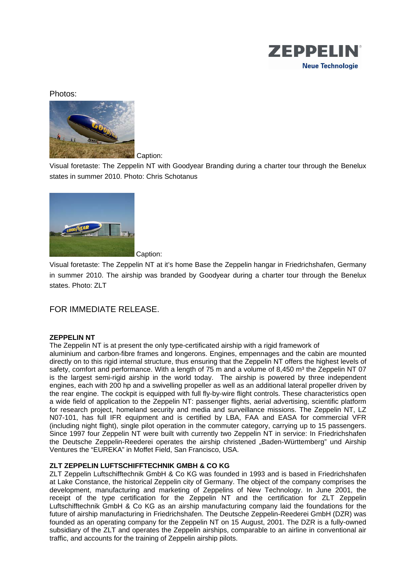

### Photos:



Caption:

Visual foretaste: The Zeppelin NT with Goodyear Branding during a charter tour through the Benelux states in summer 2010. Photo: Chris Schotanus



Caption:

Visual foretaste: The Zeppelin NT at it's home Base the Zeppelin hangar in Friedrichshafen, Germany in summer 2010. The airship was branded by Goodyear during a charter tour through the Benelux states. Photo: ZLT

## FOR IMMEDIATE RELEASE.

#### **ZEPPELIN NT**

The Zeppelin NT is at present the only type-certificated airship with a rigid framework of aluminium and carbon-fibre frames and longerons. Engines, empennages and the cabin are mounted directly on to this rigid internal structure, thus ensuring that the Zeppelin NT offers the highest levels of safety, comfort and performance. With a length of 75 m and a volume of 8,450 m<sup>3</sup> the Zeppelin NT 07 is the largest semi-rigid airship in the world today. The airship is powered by three independent engines, each with 200 hp and a swivelling propeller as well as an additional lateral propeller driven by the rear engine. The cockpit is equipped with full fly-by-wire flight controls. These characteristics open a wide field of application to the Zeppelin NT: passenger flights, aerial advertising, scientific platform for research project, homeland security and media and surveillance missions. The Zeppelin NT, LZ N07-101, has full IFR equipment and is certified by LBA, FAA and EASA for commercial VFR (including night flight), single pilot operation in the commuter category, carrying up to 15 passengers. Since 1997 four Zeppelin NT were built with currently two Zeppelin NT in service: In Friedrichshafen the Deutsche Zeppelin-Reederei operates the airship christened "Baden-Württemberg" und Airship Ventures the "EUREKA" in Moffet Field, San Francisco, USA.

#### **ZLT ZEPPELIN LUFTSCHIFFTECHNIK GMBH & CO KG**

ZLT Zeppelin Luftschifftechnik GmbH & Co KG was founded in 1993 and is based in Friedrichshafen at Lake Constance, the historical Zeppelin city of Germany. The object of the company comprises the development, manufacturing and marketing of Zeppelins of New Technology. In June 2001, the receipt of the type certification for the Zeppelin NT and the certification for ZLT Zeppelin Luftschifftechnik GmbH & Co KG as an airship manufacturing company laid the foundations for the future of airship manufacturing in Friedrichshafen. The Deutsche Zeppelin-Reederei GmbH (DZR) was founded as an operating company for the Zeppelin NT on 15 August, 2001. The DZR is a fully-owned subsidiary of the ZLT and operates the Zeppelin airships, comparable to an airline in conventional air traffic, and accounts for the training of Zeppelin airship pilots.